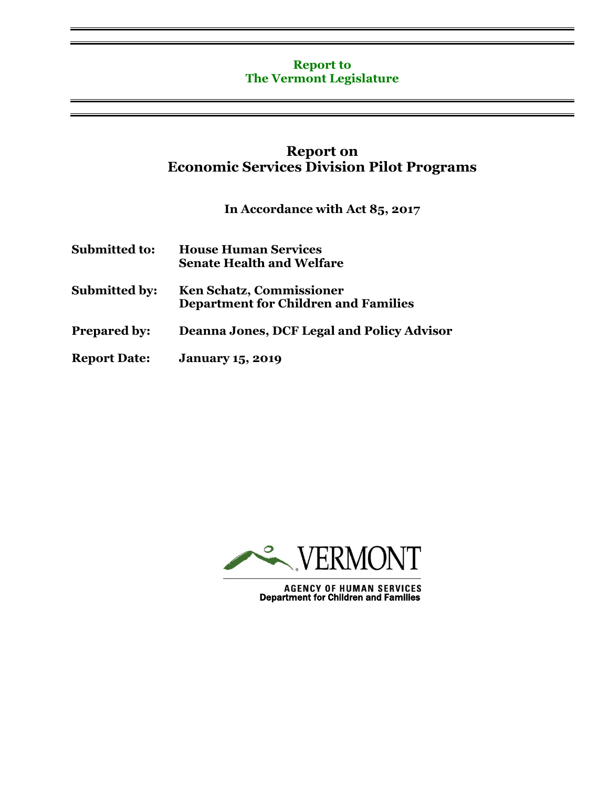## **Report to The Vermont Legislature**

# **Report on Economic Services Division Pilot Programs**

**In Accordance with Act 85, 2017**

| <b>Submitted to:</b> | <b>House Human Services</b><br><b>Senate Health and Welfare</b>                |
|----------------------|--------------------------------------------------------------------------------|
| <b>Submitted by:</b> | <b>Ken Schatz, Commissioner</b><br><b>Department for Children and Families</b> |
| <b>Prepared by:</b>  | <b>Deanna Jones, DCF Legal and Policy Advisor</b>                              |
| <b>Report Date:</b>  | <b>January 15, 2019</b>                                                        |



**AGENCY OF HUMAN SERVICES**<br>Department for Children and Families